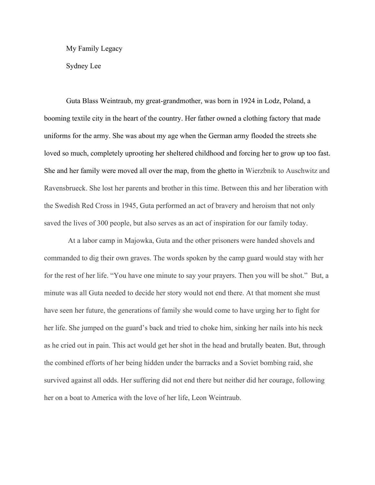My Family Legacy

Sydney Lee

Guta Blass Weintraub, my great-grandmother, was born in 1924 in Lodz, Poland, a booming textile city in the heart of the country. Her father owned a clothing factory that made uniforms for the army. She was about my age when the German army flooded the streets she loved so much, completely uprooting her sheltered childhood and forcing her to grow up too fast. She and her family were moved all over the map, from the ghetto in Wierzbnik to Auschwitz and Ravensbrueck. She lost her parents and brother in this time. Between this and her liberation with the Swedish Red Cross in 1945, Guta performed an act of bravery and heroism that not only saved the lives of 300 people, but also serves as an act of inspiration for our family today.

 At a labor camp in Majowka, Guta and the other prisoners were handed shovels and commanded to dig their own graves. The words spoken by the camp guard would stay with her for the rest of her life. "You have one minute to say your prayers. Then you will be shot." But, a minute was all Guta needed to decide her story would not end there. At that moment she must have seen her future, the generations of family she would come to have urging her to fight for her life. She jumped on the guard's back and tried to choke him, sinking her nails into his neck as he cried out in pain. This act would get her shot in the head and brutally beaten. But, through the combined efforts of her being hidden under the barracks and a Soviet bombing raid, she survived against all odds. Her suffering did not end there but neither did her courage, following her on a boat to America with the love of her life, Leon Weintraub.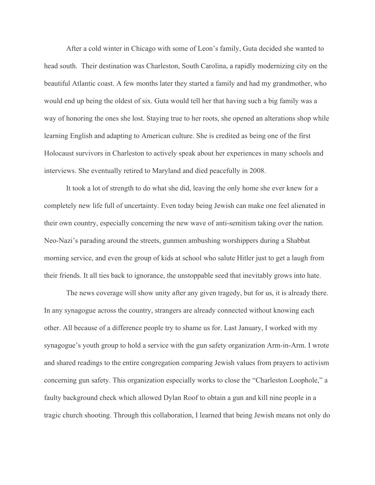After a cold winter in Chicago with some of Leon's family, Guta decided she wanted to head south. Their destination was Charleston, South Carolina, a rapidly modernizing city on the beautiful Atlantic coast. A few months later they started a family and had my grandmother, who would end up being the oldest of six. Guta would tell her that having such a big family was a way of honoring the ones she lost. Staying true to her roots, she opened an alterations shop while learning English and adapting to American culture. She is credited as being one of the first Holocaust survivors in Charleston to actively speak about her experiences in many schools and interviews. She eventually retired to Maryland and died peacefully in 2008.

It took a lot of strength to do what she did, leaving the only home she ever knew for a completely new life full of uncertainty. Even today being Jewish can make one feel alienated in their own country, especially concerning the new wave of anti-semitism taking over the nation. Neo-Nazi's parading around the streets, gunmen ambushing worshippers during a Shabbat morning service, and even the group of kids at school who salute Hitler just to get a laugh from their friends. It all ties back to ignorance, the unstoppable seed that inevitably grows into hate.

The news coverage will show unity after any given tragedy, but for us, it is already there. In any synagogue across the country, strangers are already connected without knowing each other. All because of a difference people try to shame us for. Last January, I worked with my synagogue's youth group to hold a service with the gun safety organization Arm-in-Arm. I wrote and shared readings to the entire congregation comparing Jewish values from prayers to activism concerning gun safety. This organization especially works to close the "Charleston Loophole," a faulty background check which allowed Dylan Roof to obtain a gun and kill nine people in a tragic church shooting. Through this collaboration, I learned that being Jewish means not only do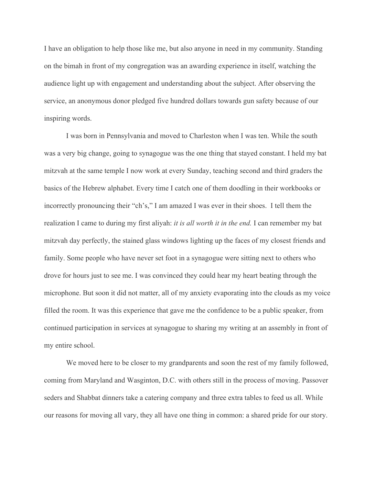I have an obligation to help those like me, but also anyone in need in my community. Standing on the bimah in front of my congregation was an awarding experience in itself, watching the audience light up with engagement and understanding about the subject. After observing the service, an anonymous donor pledged five hundred dollars towards gun safety because of our inspiring words.

I was born in Pennsylvania and moved to Charleston when I was ten. While the south was a very big change, going to synagogue was the one thing that stayed constant. I held my bat mitzvah at the same temple I now work at every Sunday, teaching second and third graders the basics of the Hebrew alphabet. Every time I catch one of them doodling in their workbooks or incorrectly pronouncing their "ch's," I am amazed I was ever in their shoes. I tell them the realization I came to during my first aliyah: *it is all worth it in the end.* I can remember my bat mitzvah day perfectly, the stained glass windows lighting up the faces of my closest friends and family. Some people who have never set foot in a synagogue were sitting next to others who drove for hours just to see me. I was convinced they could hear my heart beating through the microphone. But soon it did not matter, all of my anxiety evaporating into the clouds as my voice filled the room. It was this experience that gave me the confidence to be a public speaker, from continued participation in services at synagogue to sharing my writing at an assembly in front of my entire school.

We moved here to be closer to my grandparents and soon the rest of my family followed, coming from Maryland and Wasginton, D.C. with others still in the process of moving. Passover seders and Shabbat dinners take a catering company and three extra tables to feed us all. While our reasons for moving all vary, they all have one thing in common: a shared pride for our story.